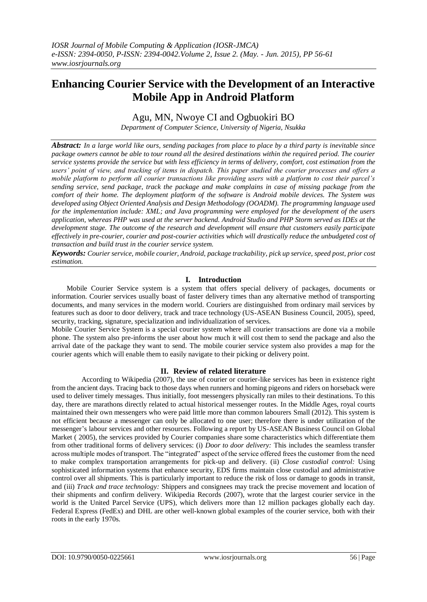# **Enhancing Courier Service with the Development of an Interactive Mobile App in Android Platform**

Agu, MN, Nwoye CI and Ogbuokiri BO

*Department of Computer Science, University of Nigeria, Nsukka*

*Abstract: In a large world like ours, sending packages from place to place by a third party is inevitable since package owners cannot be able to tour round all the desired destinations within the required period. The courier service systems provide the service but with less efficiency in terms of delivery, comfort, cost estimation from the users' point of view, and tracking of items in dispatch. This paper studied the courier processes and offers a mobile platform to perform all courier transactions like providing users with a platform to cost their parcel's sending service, send package, track the package and make complains in case of missing package from the comfort of their home. The deployment platform of the software is Android mobile devices. The System was developed using Object Oriented Analysis and Design Methodology (OOADM). The programming language used for the implementation include: XML; and Java programming were employed for the development of the users application, whereas PHP was used at the server backend. Android Studio and PHP Storm served as IDEs at the development stage. The outcome of the research and development will ensure that customers easily participate effectively in pre-courier, courier and post-courier activities which will drastically reduce the unbudgeted cost of transaction and build trust in the courier service system.*

*Keywords: Courier service, mobile courier, Android, package trackability, pick up service, speed post, prior cost estimation.*

# **I. Introduction**

Mobile Courier Service system is a system that offers special delivery of packages, documents or information. Courier services usually boast of faster delivery times than any alternative method of transporting documents, and many services in the modern world. Couriers are distinguished from ordinary mail services by features such as door to door delivery, track and trace technology (US-ASEAN Business Council, 2005), speed, security, tracking, signature, specialization and individualization of services.

Mobile Courier Service System is a special courier system where all courier transactions are done via a mobile phone. The system also pre-informs the user about how much it will cost them to send the package and also the arrival date of the package they want to send. The mobile courier service system also provides a map for the courier agents which will enable them to easily navigate to their picking or delivery point.

## **II. Review of related literature**

According to Wikipedia (2007), the use of courier or courier-like services has been in existence right from the ancient days. Tracing back to those days when runners and homing pigeons and riders on horseback were used to deliver timely messages. Thus initially, foot messengers physically ran miles to their destinations. To this day, there are marathons directly related to actual historical messenger routes. In the Middle Ages, royal courts maintained their own messengers who were paid little more than common labourers Small (2012). This system is not efficient because a messenger can only be allocated to one user; therefore there is under utilization of the messenger's labour services and other resources. Following a report by US-ASEAN Business Council on Global Market ( 2005), the services provided by Courier companies share some characteristics which differentiate them from other traditional forms of delivery services: (i) *Door to door delivery:* This includes the seamless transfer across multiple modes of transport. The "integrated" aspect of the service offered frees the customer from the need to make complex transportation arrangements for pick-up and delivery. (ii) *Close custodial control:* Using sophisticated information systems that enhance security, EDS firms maintain close custodial and administrative control over all shipments. This is particularly important to reduce the risk of loss or damage to goods in transit, and (iii) *Track and trace technology:* Shippers and consignees may track the precise movement and location of their shipments and confirm delivery. Wikipedia Records (2007), wrote that the largest courier service in the world is the United Parcel Service (UPS), which delivers more than 12 million packages globally each day. Federal Express (FedEx) and DHL are other well-known global examples of the courier service, both with their roots in the early 1970s.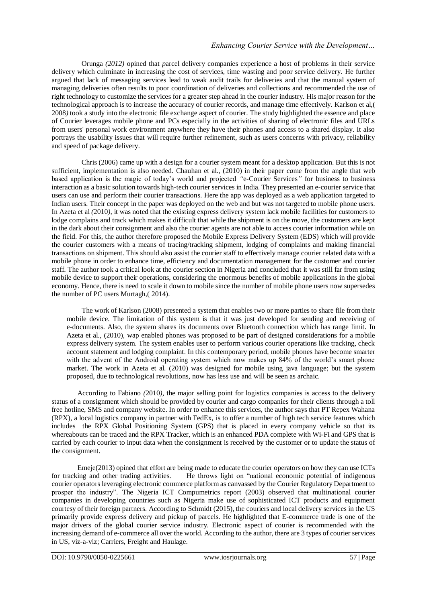Orunga *(2012)* opined that *p*arcel delivery companies experience a host of problems in their service delivery which culminate in increasing the cost of services, time wasting and poor service delivery. He further argued that lack of messaging services lead to weak audit trails for deliveries and that the manual system of managing deliveries often results to poor coordination of deliveries and collections and recommended the use of right technology to customize the services for a greater step ahead in the courier industry. His major reason for the technological approach is to increase the accuracy of courier records, and manage time effectively. Karlson et al,( 2008*)* took a study into the electronic file exchange aspect of courier. The study highlighted the essence and place of Courier leverages mobile phone and PCs especially in the activities of sharing of electronic files and URLs from users' personal work environment anywhere they have their phones and access to a shared display. It also portrays the usability issues that will require further refinement, such as users concerns with privacy, reliability and speed of package delivery.

Chris (2006) came up with a design for a courier system meant for a desktop application. But this is not sufficient, implementation is also needed. Chauhan et al., (2010) in their paper *ca*me from the angle that web based application is the magic of today's world and projected *"*e-Courier Services*"* for business to business interaction as a basic solution towards high-tech courier services in India. They presented an e-courier service that users can use and perform their courier transactions. Here the app was deployed as a web application targeted to Indian users. Their concept in the paper was deployed on the web and but was not targeted to mobile phone users. In Azeta et al *(*2010*),* it was noted that the existing express delivery system lack mobile facilities for customers to lodge complains and track which makes it difficult that while the shipment is on the move, the customers are kept in the dark about their consignment and also the courier agents are not able to access courier information while on the field. For this, the author therefore proposed the Mobile Express Delivery System (EDS) which will provide the courier customers with a means of tracing/tracking shipment, lodging of complaints and making financial transactions on shipment. This should also assist the courier staff to effectively manage courier related data with a mobile phone in order to enhance time, efficiency and documentation management for the customer and courier staff. The author took a critical look at the courier section in Nigeria and concluded that it was still far from using mobile device to support their operations, considering the enormous benefits of mobile applications in the global economy. Hence, there is need to scale it down to mobile since the number of mobile phone users now supersedes the number of PC users Murtagh,( 2014).

The work of Karlson (2008) presented a system that enables two or more parties to share file from their mobile device. The limitation of this system is that it was just developed for sending and receiving of e-documents. Also, the system shares its documents over Bluetooth connection which has range limit. In Azeta et al., (2010), wap enabled phones was proposed to be part of designed considerations for a mobile express delivery system. The system enables user to perform various courier operations like tracking, check account statement and lodging complaint. In this contemporary period, mobile phones have become smarter with the advent of the Android operating system which now makes up 84% of the world's smart phone market. The work in Azeta et al. (2010) was designed for mobile using java language; but the system proposed, due to technological revolutions, now has less use and will be seen as archaic.

According to Fabiano *(*2010*),* the major selling point for logistics companies is access to the delivery status of a consignment which should be provided by courier and cargo companies for their clients through a toll free hotline, SMS and company website. In order to enhance this services, the author says that PT Repex Wahana (RPX), a local logistics company in partner with FedEx, is to offer a number of high tech service features which includes the RPX Global Positioning System (GPS) that is placed in every company vehicle so that its whereabouts can be traced and the RPX Tracker, which is an enhanced PDA complete with Wi-Fi and GPS that is carried by each courier to input data when the consignment is received by the customer or to update the status of the consignment.

Emeje(2013) opined that effort are being made to educate the courier operators on how they can use ICTs for tracking and other trading activities. He throws light on "national economic potential of indigenous courier operators leveraging electronic commerce platform as canvassed by the Courier Regulatory Department to prosper the industry". The Nigeria ICT Compumetrics report (2003) observed that multinational courier companies in developing countries such as Nigeria make use of sophisticated ICT products and equipment courtesy of their foreign partners. According to Schmidt (2015), the couriers and local delivery services in the US primarily provide express delivery and pickup of parcels. He highlighted that E-commerce trade is one of the major drivers of the global courier service industry. Electronic aspect of courier is recommended with the increasing demand of e-commerce all over the world. According to the author, there are 3 types of courier services in US, viz-a-viz; Carriers, Freight and Haulage.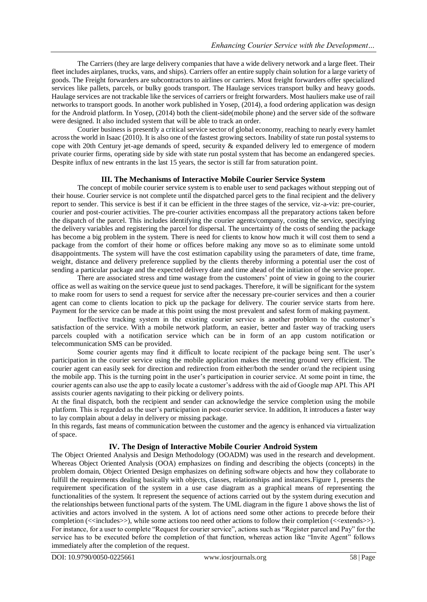The Carriers (they are large delivery companies that have a wide delivery network and a large fleet. Their fleet includes airplanes, trucks, vans, and ships). Carriers offer an entire supply chain solution for a large variety of goods. The Freight forwarders are subcontractors to airlines or carriers. Most freight forwarders offer specialized services like pallets, parcels, or bulky goods transport. The Haulage services transport bulky and heavy goods. Haulage services are not trackable like the services of carriers or freight forwarders. Most hauliers make use of rail networks to transport goods. In another work published in Yosep, (2014), a food ordering application was design for the Android platform. In Yosep, (2014) both the client-side(mobile phone) and the server side of the software were designed. It also included system that will be able to track an order.

Courier business is presently a critical service sector of global economy, reaching to nearly every hamlet across the world in Isaac (2010). It is also one of the fastest growing sectors. Inability of state run postal systems to cope with 20th Century jet-age demands of speed, security & expanded delivery led to emergence of modern private courier firms, operating side by side with state run postal system that has become an endangered species. Despite influx of new entrants in the last 15 years, the sector is still far from saturation point.

## **III. The Mechanisms of Interactive Mobile Courier Service System**

The concept of mobile courier service system is to enable user to send packages without stepping out of their house. Courier service is not complete until the dispatched parcel gets to the final recipient and the delivery report to sender. This service is best if it can be efficient in the three stages of the service, viz-a-viz: pre-courier, courier and post-courier activities. The pre-courier activities encompass all the preparatory actions taken before the dispatch of the parcel. This includes identifying the courier agents/company, costing the service, specifying the delivery variables and registering the parcel for dispersal. The uncertainty of the costs of sending the package has become a big problem in the system. There is need for clients to know how much it will cost them to send a package from the comfort of their home or offices before making any move so as to eliminate some untold disappointments. The system will have the cost estimation capability using the parameters of date, time frame, weight, distance and delivery preference supplied by the clients thereby informing a potential user the cost of sending a particular package and the expected delivery date and time ahead of the initiation of the service proper.

There are associated stress and time wastage from the customers' point of view in going to the courier office as well as waiting on the service queue just to send packages. Therefore, it will be significant for the system to make room for users to send a request for service after the necessary pre-courier services and then a courier agent can come to clients location to pick up the package for delivery. The courier service starts from here. Payment for the service can be made at this point using the most prevalent and safest form of making payment.

Ineffective tracking system in the existing courier service is another problem to the customer's satisfaction of the service. With a mobile network platform, an easier, better and faster way of tracking users parcels coupled with a notification service which can be in form of an app custom notification or telecommunication SMS can be provided.

Some courier agents may find it difficult to locate recipient of the package being sent. The user's participation in the courier service using the mobile application makes the meeting ground very efficient. The courier agent can easily seek for direction and redirection from either/both the sender or/and the recipient using the mobile app. This is the turning point in the user's participation in courier service. At some point in time, the courier agents can also use the app to easily locate a customer's address with the aid of Google map API. This API assists courier agents navigating to their picking or delivery points.

At the final dispatch, both the recipient and sender can acknowledge the service completion using the mobile platform. This is regarded as the user's participation in post-courier service. In addition, It introduces a faster way to lay complain about a delay in delivery or missing package.

In this regards, fast means of communication between the customer and the agency is enhanced via virtualization of space.

## **IV. The Design of Interactive Mobile Courier Android System**

The Object Oriented Analysis and Design Methodology (OOADM) was used in the research and development. Whereas Object Oriented Analysis (OOA) emphasizes on finding and describing the objects (concepts) in the problem domain, Object Oriented Design emphasizes on defining software objects and how they collaborate to fulfill the requirements dealing basically with objects, classes, relationships and instances.Figure 1, presents the requirement specification of the system in a use case diagram as a graphical means of representing the functionalities of the system. It represent the sequence of actions carried out by the system during execution and the relationships between functional parts of the system. The UML diagram in the figure 1 above shows the list of activities and actors involved in the system. A lot of actions need some other actions to precede before their completion (<<includes>>), while some actions too need other actions to follow their completion (<<extends>>). For instance, for a user to complete "Request for courier service", actions such as "Register parcel and Pay" for the service has to be executed before the completion of that function, whereas action like "Invite Agent" follows immediately after the completion of the request.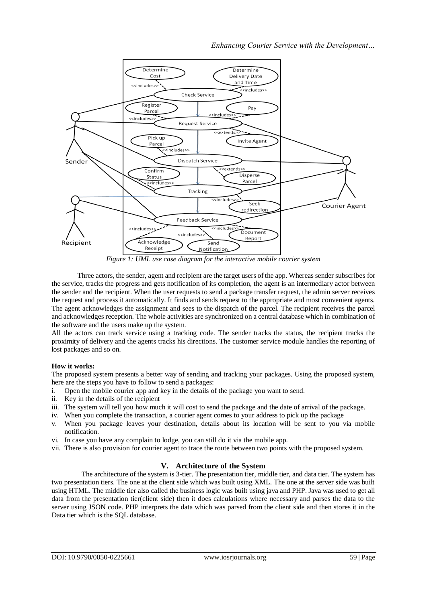

*Figure 1: UML use case diagram for the interactive mobile courier system*

Three actors, the sender, agent and recipient are the target users of the app. Whereas sender subscribes for the service, tracks the progress and gets notification of its completion, the agent is an intermediary actor between the sender and the recipient. When the user requests to send a package transfer request, the admin server receives the request and process it automatically. It finds and sends request to the appropriate and most convenient agents. The agent acknowledges the assignment and sees to the dispatch of the parcel. The recipient receives the parcel and acknowledges reception. The whole activities are synchronized on a central database which in combination of the software and the users make up the system.

All the actors can track service using a tracking code. The sender tracks the status, the recipient tracks the proximity of delivery and the agents tracks his directions. The customer service module handles the reporting of lost packages and so on.

## **How it works:**

The proposed system presents a better way of sending and tracking your packages. Using the proposed system, here are the steps you have to follow to send a packages:

- i. Open the mobile courier app and key in the details of the package you want to send.
- ii. Key in the details of the recipient
- iii. The system will tell you how much it will cost to send the package and the date of arrival of the package.
- iv. When you complete the transaction, a courier agent comes to your address to pick up the package
- v. When you package leaves your destination, details about its location will be sent to you via mobile notification.
- vi. In case you have any complain to lodge, you can still do it via the mobile app.
- vii. There is also provision for courier agent to trace the route between two points with the proposed system.

# **V. Architecture of the System**

The architecture of the system is 3-tier. The presentation tier, middle tier, and data tier. The system has two presentation tiers. The one at the client side which was built using XML. The one at the server side was built using HTML. The middle tier also called the business logic was built using java and PHP. Java was used to get all data from the presentation tier(client side) then it does calculations where necessary and parses the data to the server using JSON code. PHP interprets the data which was parsed from the client side and then stores it in the Data tier which is the SQL database.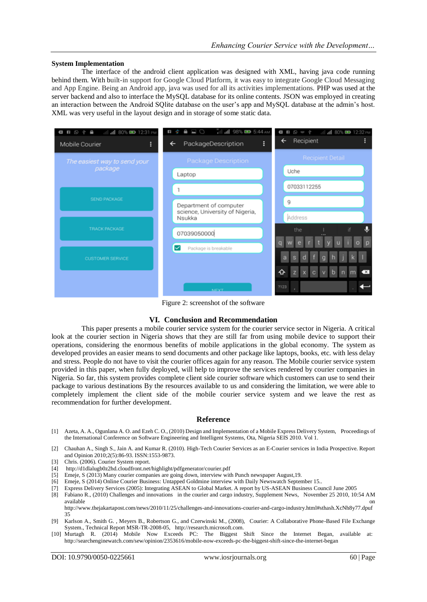#### **System Implementation**

The interface of the android client application was designed with XML, having java code running behind them. With built-in support for Google Cloud Platform, it was easy to integrate Google Cloud Messaging and App Engine. Being an Android app, java was used for all its activities implementations. PHP was used at the server backend and also to interface the MySQL database for its online contents. JSON was employed in creating an interaction between the Android SQlite database on the user's app and MySQL database at the admin's host. XML was very useful in the layout design and in storage of some static data.

| all all 80% <b>ED</b> 12:31 PM<br>$\blacksquare \quad \lozenge \quad \lozenge \quad \blacksquare$<br>٥<br>Mobile Courier | "ill all 98% <b>B</b> 5:44 AM<br>$\Box$<br>₿<br>$\mathbb{R}^2$<br>ò.<br>PackageDescription<br>$\blacklozenge$ | .ill .ill 80% ■ 12:32 PM<br>$\gamma = \emptyset$ ii D<br>Recipient<br>← |
|--------------------------------------------------------------------------------------------------------------------------|---------------------------------------------------------------------------------------------------------------|-------------------------------------------------------------------------|
| The easiest way to send your<br>package                                                                                  | <b>Package Description</b>                                                                                    | <b>Recipient Detail</b>                                                 |
|                                                                                                                          | Laptop                                                                                                        | Uche                                                                    |
| <b>SEND PACKAGE</b>                                                                                                      |                                                                                                               | 07033112255                                                             |
|                                                                                                                          | Department of computer<br>science, University of Nigeria,                                                     | 9                                                                       |
| <b>TRACK PACKAGE</b>                                                                                                     | Nsukka                                                                                                        | Address                                                                 |
|                                                                                                                          | 07039050000                                                                                                   | J<br>if<br>the                                                          |
| <b>CUSTOMER SERVICE</b>                                                                                                  | Package is breakable                                                                                          | Е                                                                       |
|                                                                                                                          |                                                                                                               | ↷<br>×                                                                  |
|                                                                                                                          |                                                                                                               |                                                                         |
|                                                                                                                          | <b>NEYT</b>                                                                                                   | 7123                                                                    |

Figure 2: screenshot of the software

#### **VI. Conclusion and Recommendation**

This paper presents a mobile courier service system for the courier service sector in Nigeria. A critical look at the courier section in Nigeria shows that they are still far from using mobile device to support their operations, considering the enormous benefits of mobile applications in the global economy. The system as developed provides an easier means to send documents and other package like laptops, books, etc. with less delay and stress. People do not have to visit the courier offices again for any reason. The Mobile courier service system provided in this paper, when fully deployed, will help to improve the services rendered by courier companies in Nigeria. So far, this system provides complete client side courier software which customers can use to send their package to various destinations By the resources available to us and considering the limitation, we were able to completely implement the client side of the mobile courier service system and we leave the rest as recommendation for further development.

#### **Reference**

- [1] Azeta, A. A., Ogunlana A. O. and Ezeh C. O., (2010) Design and Implementation of a Mobile Express Delivery System, Proceedings of the International Conference on Software Engineering and Intelligent Systems, Ota, Nigeria SEIS 2010. Vol 1.
- [2] Chauhan A., Singh S., Jain A. and Kumar R. (2010). High-Tech Courier Services as an E-Courier services in India Prospective. Report and Opinion 2010;2(5):86-93. ISSN:1553-9873.
- [3] Chris. (2006). Courier System report.
- [4] [http://d1dlalugb0z2hd.cloudfront.net/highlight/pdfgenerator/courier.pdf](http://d1dlalugb0z2hd.cloudfront.net/highlight/pdfgenerator/courier.pdf-)
- [5] Emeje, S (2013) Many courier companies are going down, interview with Punch newspaper August,19.
- [6] Emeje, S (2014) Online Courier Business: Untapped Goldmine interview with Daily Newswatch September 15..
- [7] Express Delivery Services (2005): Integrating ASEAN to Global Market. A report by US-ASEAN Business Council June 2005 [8] Fabiano R., (2010) Challenges and innovations in the courier and cargo industry, Supplement News, November 25 2010, 10:54 AM

available **on** on the contract of the contract of the contract of the contract of the contract of the contract of the contract of the contract of the contract of the contract of the contract of the contract of the contract http://www.thejakartapost.com/news/2010/11/25/challenges-and-innovations-courier-and-cargo-industry.html#sthash.XcNh8y77.dpuf 35

- [9] Karlson A., Smith G. , Meyers B., Robertson G., and Czerwinski M., (2008), Courier: A Collaborative Phone-Based File Exchange System., Technical Report MSR-TR-2008-05, http://research.microsoft.com.
- [10] [Murtagh](http://searchenginewatch.com/author/2644/rebecca-murtagh) R. (2014) Mobile Now Exceeds PC: The Biggest Shift Since the Internet Began, available at: <http://searchenginewatch.com/sew/opinion/2353616/mobile-now-exceeds-pc-the-biggest-shift-since-the-internet-began>